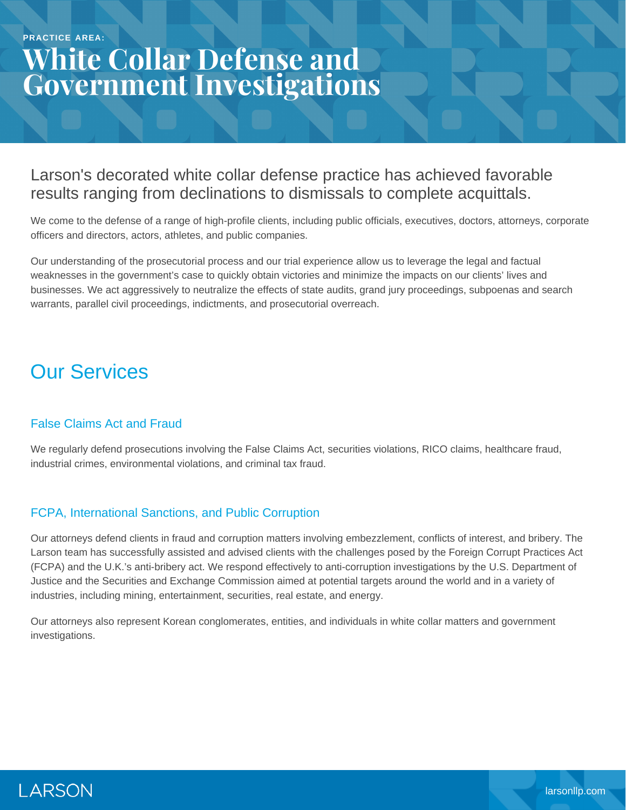# **White Collar Defense and Government Investigations**

#### Larson's decorated white collar defense practice has achieved favorable results ranging from declinations to dismissals to complete acquittals.

We come to the defense of a range of high-profile clients, including public officials, executives, doctors, attorneys, corporate officers and directors, actors, athletes, and public companies.

Our understanding of the prosecutorial process and our trial experience allow us to leverage the legal and factual weaknesses in the government's case to quickly obtain victories and minimize the impacts on our clients' lives and businesses. We act aggressively to neutralize the effects of state audits, grand jury proceedings, subpoenas and search warrants, parallel civil proceedings, indictments, and prosecutorial overreach.

#### Our Services

#### False Claims Act and Fraud

We regularly defend prosecutions involving the False Claims Act, securities violations, RICO claims, healthcare fraud, industrial crimes, environmental violations, and criminal tax fraud.

#### FCPA, International Sanctions, and Public Corruption

Our attorneys defend clients in fraud and corruption matters involving embezzlement, conflicts of interest, and bribery. The Larson team has successfully assisted and advised clients with the challenges posed by the Foreign Corrupt Practices Act (FCPA) and the U.K.'s anti-bribery act. We respond effectively to anti-corruption investigations by the U.S. Department of Justice and the Securities and Exchange Commission aimed at potential targets around the world and in a variety of industries, including mining, entertainment, securities, real estate, and energy.

Our attorneys also represent Korean conglomerates, entities, and individuals in white collar matters and government investigations.

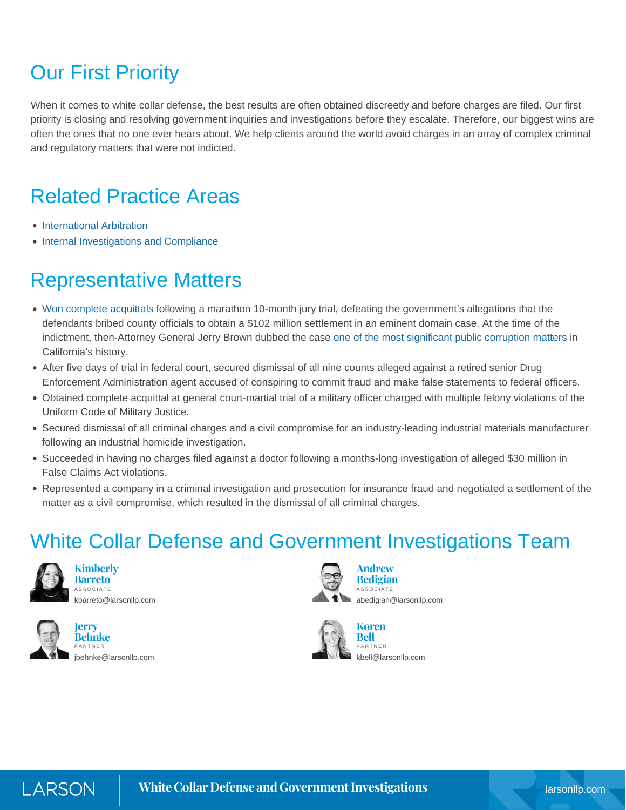## Our First Priority

When it comes to white collar defense, the best results are often obtained discreetly and before charges are filed. Our first priority is closing and resolving government inquiries and investigations before they escalate. Therefore, our biggest wins are often the ones that no one ever hears about. We help clients around the world avoid charges in an array of complex criminal and regulatory matters that were not indicted.

### Related Practice Areas

- [International Arbitration](https://www.larsonllp.com/practice-areas/complex-civil-litigation/international-arbitration/)
- [Internal Investigations and Compliance](https://www.larsonllp.com/practice-areas/internal-investigations-and-compliance/)

### Representative Matters

- [Won complete acquittals](https://www.larsonllp.com/three-defendants-found-not-guilty-in-colonies-corruption-case/) following a marathon 10-month jury trial, defeating the government's allegations that the defendants bribed county officials to obtain a \$102 million settlement in an eminent domain case. At the time of the indictment, then-Attorney General Jerry Brown dubbed the case [one of the most significant public corruption matters](https://www.larsonllp.com/case-studies/vindication-for-real-estate-developer-after-decades-long-corruption-scandal/) in California's history.
- After five days of trial in federal court, secured dismissal of all nine counts alleged against a retired senior Drug Enforcement Administration agent accused of conspiring to commit fraud and make false statements to federal officers.
- Obtained complete acquittal at general court-martial trial of a military officer charged with multiple felony violations of the Uniform Code of Military Justice.
- Secured dismissal of all criminal charges and a civil compromise for an industry-leading industrial materials manufacturer following an industrial homicide investigation.
- Succeeded in having no charges filed against a doctor following a months-long investigation of alleged \$30 million in False Claims Act violations.
- Represented a company in a criminal investigation and prosecution for insurance fraud and negotiated a settlement of the matter as a civil compromise, which resulted in the dismissal of all criminal charges.

### White Collar Defense and Government Investigations Team



**Kimberly Barreto ASSOCIATE** [kbarreto@larsonllp.com](mailto:kbarreto@larsonllp.com)



**Jerry Behnke** PARTNER [jbehnke@larsonllp.com](mailto:jbehnke@larsonllp.com)



**Andrew Bedigian** ASSOCIATE [abedigian@larsonllp.com](mailto:abedigian@larsonllp.com)



**Koren Bell** PARTNER [kbell@larsonllp.com](mailto:kbell@larsonllp.com)

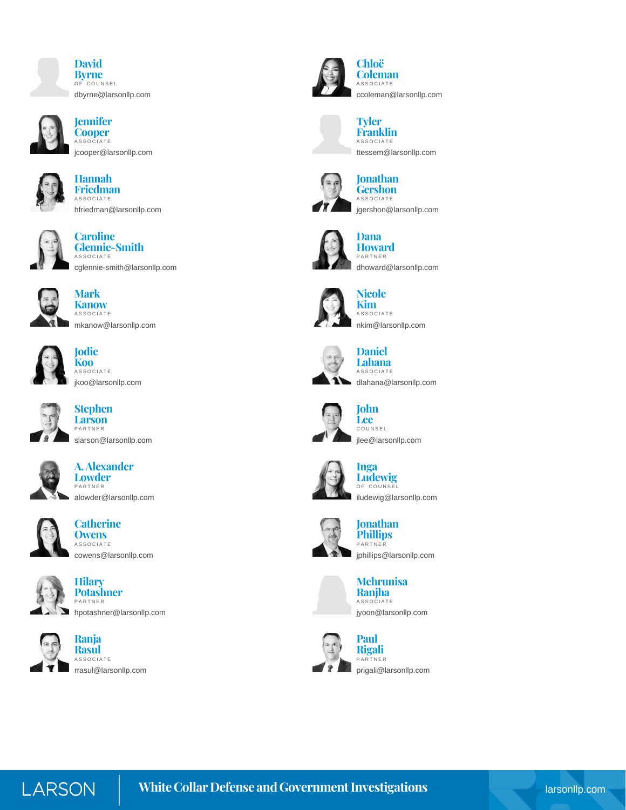



**Jennifer Cooper** ASSOCIATE [jcooper@larsonllp.com](mailto:jcooper@larsonllp.com)



**Hannah Friedman** ASSOCIATE [hfriedman@larsonllp.com](mailto:hfriedman@larsonllp.com)



**Caroline Glennie-Smith** ASSOCIATE [cglennie-smith@larsonllp.com](mailto:cglennie-smith@larsonllp.com)



**Mark Kanow ASSOCIATE** [mkanow@larsonllp.com](mailto:mkanow@larsonllp.com)



**Jodie Koo ASSOCIATE** [jkoo@larsonllp.com](mailto:jkoo@larsonllp.com)



**Stephen Larson** PARTNER [slarson@larsonllp.com](mailto:slarson@larsonllp.com)



**A. Alexander Lowder** PARTNER [alowder@larsonllp.com](mailto:alowder@larsonllp.com)



**Catherine Owens** ASSOCIATE [cowens@larsonllp.com](mailto:cowens@larsonllp.com)



**Hilary Potashner** PARTNER





**Ranja Rasul** ASSOCIATE [rrasul@larsonllp.com](mailto:rrasul@larsonllp.com)



**Chloë Coleman ASSOCIATE** [ccoleman@larsonllp.com](mailto:ccoleman@larsonllp.com)



[ttessem@larsonllp.com](mailto:ttessem@larsonllp.com)

[jgershon@larsonllp.com](mailto:jgershon@larsonllp.com)

[dhoward@larsonllp.com](mailto:dhoward@larsonllp.com)





**Gershon** ASSOCIATE



**Dana Howard** PARTNER



**Nicole KimASSOCIATE** [nkim@larsonllp.com](mailto:nkim@larsonllp.com)



**Lahana** ASSOCIATE [dlahana@larsonllp.com](mailto:dlahana@larsonllp.com)



**John Lee** COUNSEL [jlee@larsonllp.com](mailto:jlee@larsonllp.com)



**Inga Ludewig** OF COUNSEL [iludewig@larsonllp.com](mailto:iludewig@larsonllp.com)



**Jonathan Phillips** PARTNER [jphillips@larsonllp.com](mailto:jphillips@larsonllp.com)





PARTNER [prigali@larsonllp.com](mailto:prigali@larsonllp.com)